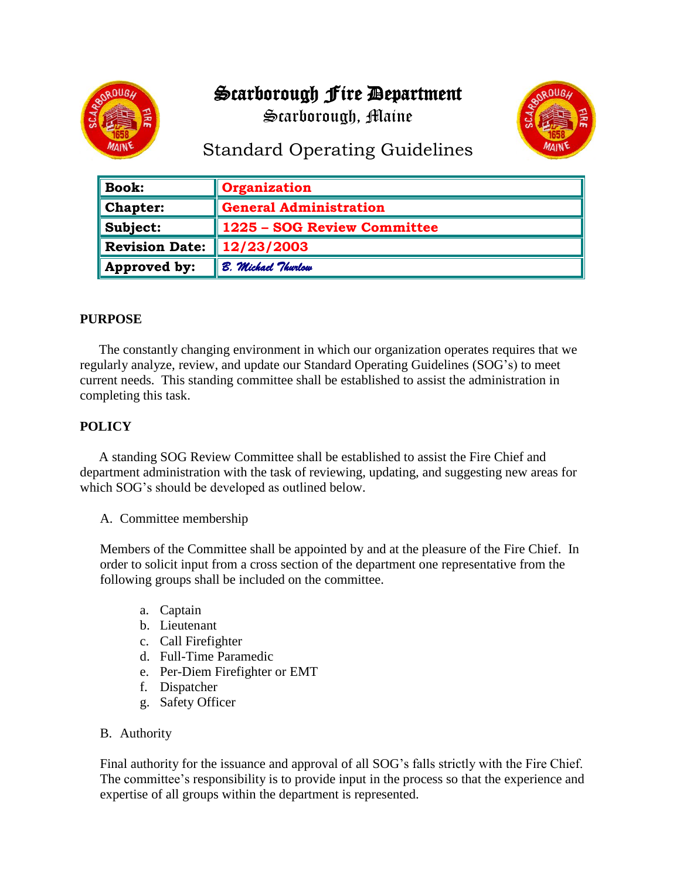# Scarborough Fire Department

Scarborough, Maine



## Standard Operating Guidelines

| $\parallel$ Book:       | Organization                |
|-------------------------|-----------------------------|
| $\blacksquare$ Chapter: | General Administration      |
| $\ $ Subject:           | 1225 - SOG Review Committee |
| Revision Date:          | $\ 12/23/2003$              |
| Approved by:            | B. Michael Thurlow          |

### **PURPOSE**

The constantly changing environment in which our organization operates requires that we regularly analyze, review, and update our Standard Operating Guidelines (SOG's) to meet current needs. This standing committee shall be established to assist the administration in completing this task.

### **POLICY**

A standing SOG Review Committee shall be established to assist the Fire Chief and department administration with the task of reviewing, updating, and suggesting new areas for which SOG's should be developed as outlined below.

A. Committee membership

Members of the Committee shall be appointed by and at the pleasure of the Fire Chief. In order to solicit input from a cross section of the department one representative from the following groups shall be included on the committee.

- a. Captain
- b. Lieutenant
- c. Call Firefighter
- d. Full-Time Paramedic
- e. Per-Diem Firefighter or EMT
- f. Dispatcher
- g. Safety Officer
- B. Authority

Final authority for the issuance and approval of all SOG's falls strictly with the Fire Chief. The committee's responsibility is to provide input in the process so that the experience and expertise of all groups within the department is represented.